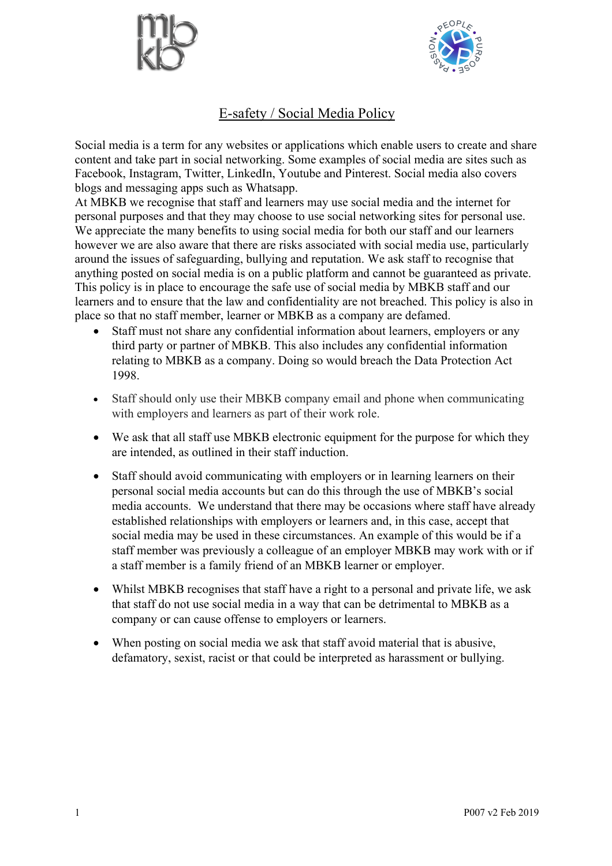



## E-safety / Social Media Policy

Social media is a term for any websites or applications which enable users to create and share content and take part in social networking. Some examples of social media are sites such as Facebook, Instagram, Twitter, LinkedIn, Youtube and Pinterest. Social media also covers blogs and messaging apps such as Whatsapp.

At MBKB we recognise that staff and learners may use social media and the internet for personal purposes and that they may choose to use social networking sites for personal use. We appreciate the many benefits to using social media for both our staff and our learners however we are also aware that there are risks associated with social media use, particularly around the issues of safeguarding, bullying and reputation. We ask staff to recognise that anything posted on social media is on a public platform and cannot be guaranteed as private. This policy is in place to encourage the safe use of social media by MBKB staff and our learners and to ensure that the law and confidentiality are not breached. This policy is also in place so that no staff member, learner or MBKB as a company are defamed.

- Staff must not share any confidential information about learners, employers or any third party or partner of MBKB. This also includes any confidential information relating to MBKB as a company. Doing so would breach the Data Protection Act 1998.
- Staff should only use their MBKB company email and phone when communicating with employers and learners as part of their work role.
- We ask that all staff use MBKB electronic equipment for the purpose for which they are intended, as outlined in their staff induction.
- Staff should avoid communicating with employers or in learning learners on their personal social media accounts but can do this through the use of MBKB's social media accounts. We understand that there may be occasions where staff have already established relationships with employers or learners and, in this case, accept that social media may be used in these circumstances. An example of this would be if a staff member was previously a colleague of an employer MBKB may work with or if a staff member is a family friend of an MBKB learner or employer.
- Whilst MBKB recognises that staff have a right to a personal and private life, we ask that staff do not use social media in a way that can be detrimental to MBKB as a company or can cause offense to employers or learners.
- When posting on social media we ask that staff avoid material that is abusive, defamatory, sexist, racist or that could be interpreted as harassment or bullying.